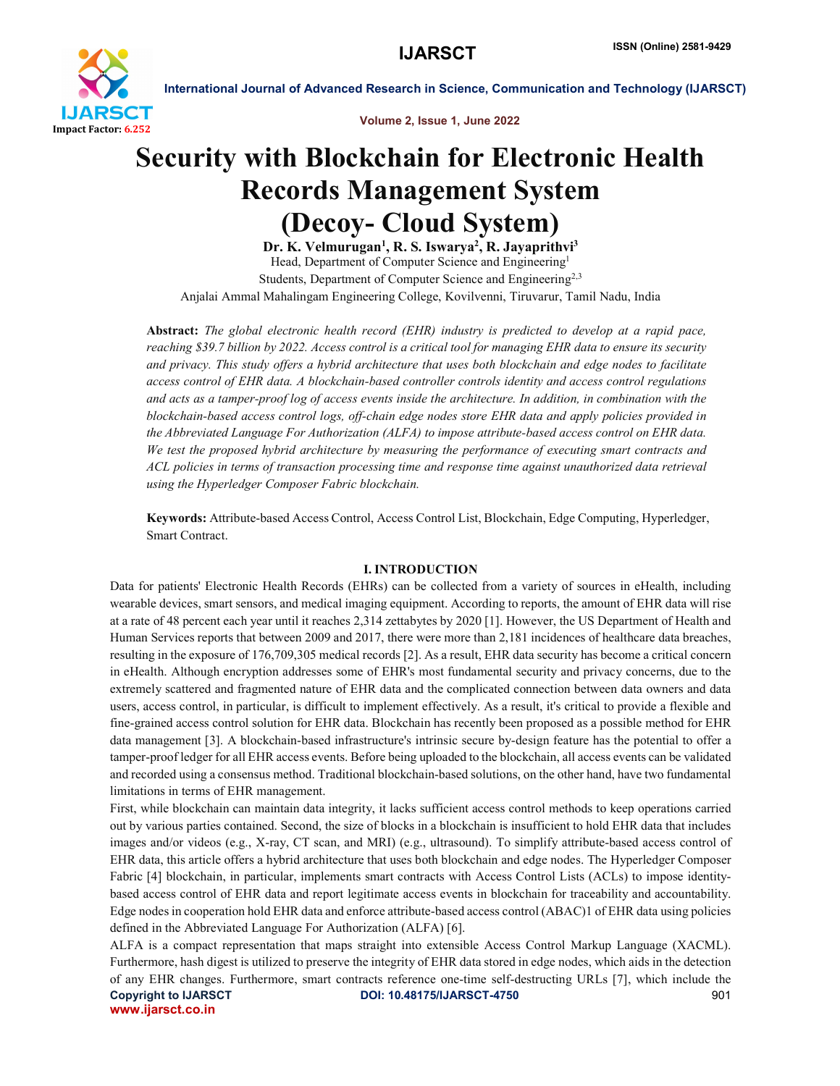

Volume 2, Issue 1, June 2022

# Security with Blockchain for Electronic Health Records Management System (Decoy- Cloud System)

Dr. K. Velmurugan<sup>1</sup>, R. S. Iswarya<sup>2</sup>, R. Jayaprithvi<sup>3</sup> Head, Department of Computer Science and Engineering<sup>1</sup> Students, Department of Computer Science and Engineering<sup>2,3</sup> Anjalai Ammal Mahalingam Engineering College, Kovilvenni, Tiruvarur, Tamil Nadu, India

Abstract: *The global electronic health record (EHR) industry is predicted to develop at a rapid pace, reaching \$39.7 billion by 2022. Access control is a critical tool for managing EHR data to ensure its security and privacy. This study offers a hybrid architecture that uses both blockchain and edge nodes to facilitate access control of EHR data. A blockchain-based controller controls identity and access control regulations and acts as a tamper-proof log of access events inside the architecture. In addition, in combination with the blockchain-based access control logs, off-chain edge nodes store EHR data and apply policies provided in the Abbreviated Language For Authorization (ALFA) to impose attribute-based access control on EHR data. We test the proposed hybrid architecture by measuring the performance of executing smart contracts and ACL policies in terms of transaction processing time and response time against unauthorized data retrieval using the Hyperledger Composer Fabric blockchain.*

Keywords: Attribute-based Access Control, Access Control List, Blockchain, Edge Computing, Hyperledger, Smart Contract.

# I. INTRODUCTION

Data for patients' Electronic Health Records (EHRs) can be collected from a variety of sources in eHealth, including wearable devices, smart sensors, and medical imaging equipment. According to reports, the amount of EHR data will rise at a rate of 48 percent each year until it reaches 2,314 zettabytes by 2020 [1]. However, the US Department of Health and Human Services reports that between 2009 and 2017, there were more than 2,181 incidences of healthcare data breaches, resulting in the exposure of 176,709,305 medical records [2]. As a result, EHR data security has become a critical concern in eHealth. Although encryption addresses some of EHR's most fundamental security and privacy concerns, due to the extremely scattered and fragmented nature of EHR data and the complicated connection between data owners and data users, access control, in particular, is difficult to implement effectively. As a result, it's critical to provide a flexible and fine-grained access control solution for EHR data. Blockchain has recently been proposed as a possible method for EHR data management [3]. A blockchain-based infrastructure's intrinsic secure by-design feature has the potential to offer a tamper-proof ledger for all EHR access events. Before being uploaded to the blockchain, all access events can be validated and recorded using a consensus method. Traditional blockchain-based solutions, on the other hand, have two fundamental limitations in terms of EHR management.

First, while blockchain can maintain data integrity, it lacks sufficient access control methods to keep operations carried out by various parties contained. Second, the size of blocks in a blockchain is insufficient to hold EHR data that includes images and/or videos (e.g., X-ray, CT scan, and MRI) (e.g., ultrasound). To simplify attribute-based access control of EHR data, this article offers a hybrid architecture that uses both blockchain and edge nodes. The Hyperledger Composer Fabric [4] blockchain, in particular, implements smart contracts with Access Control Lists (ACLs) to impose identitybased access control of EHR data and report legitimate access events in blockchain for traceability and accountability. Edge nodes in cooperation hold EHR data and enforce attribute-based access control (ABAC)1 of EHR data using policies defined in the Abbreviated Language For Authorization (ALFA) [6].

Copyright to IJARSCT **DOI: 10.48175/IJARSCT-4750** 901 www.ijarsct.co.in ALFA is a compact representation that maps straight into extensible Access Control Markup Language (XACML). Furthermore, hash digest is utilized to preserve the integrity of EHR data stored in edge nodes, which aids in the detection of any EHR changes. Furthermore, smart contracts reference one-time self-destructing URLs [7], which include the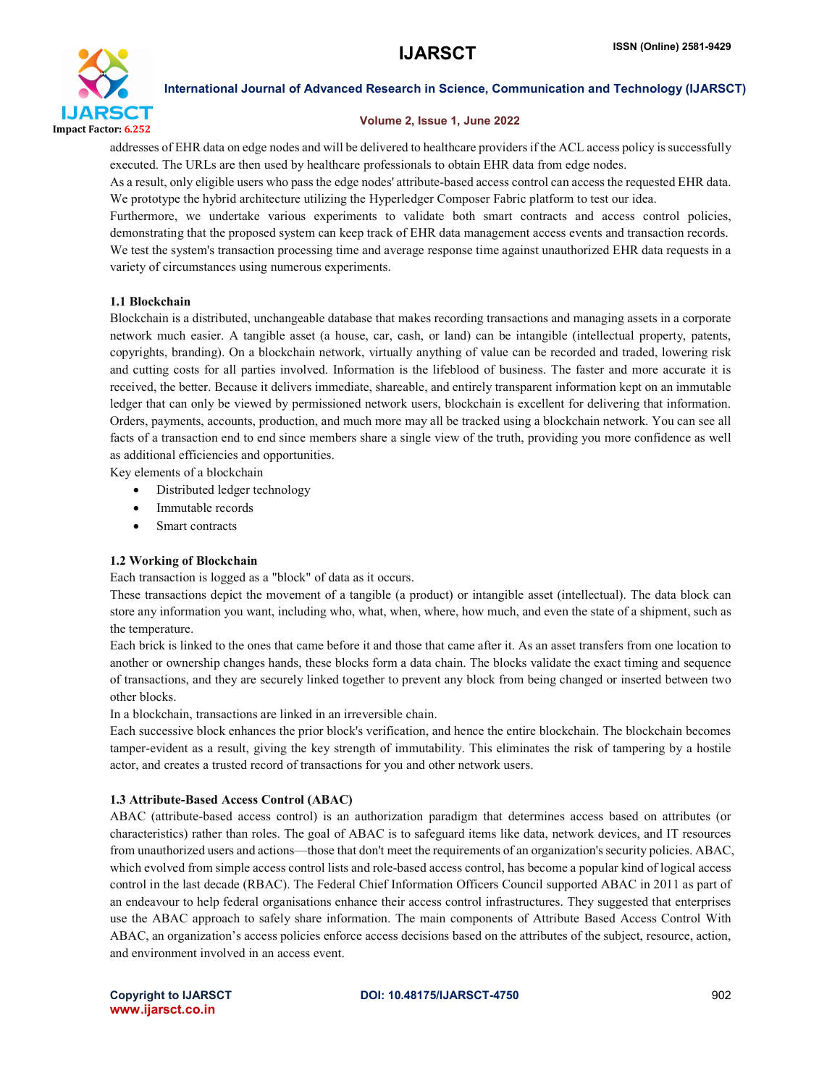

#### Volume 2, Issue 1, June 2022

addresses of EHR data on edge nodes and will be delivered to healthcare providers if the ACL access policy is successfully executed. The URLs are then used by healthcare professionals to obtain EHR data from edge nodes.

As a result, only eligible users who pass the edge nodes' attribute-based access control can access the requested EHR data. We prototype the hybrid architecture utilizing the Hyperledger Composer Fabric platform to test our idea.

Furthermore, we undertake various experiments to validate both smart contracts and access control policies, demonstrating that the proposed system can keep track of EHR data management access events and transaction records. We test the system's transaction processing time and average response time against unauthorized EHR data requests in a variety of circumstances using numerous experiments.

# 1.1 Blockchain

Blockchain is a distributed, unchangeable database that makes recording transactions and managing assets in a corporate network much easier. A tangible asset (a house, car, cash, or land) can be intangible (intellectual property, patents, copyrights, branding). On a blockchain network, virtually anything of value can be recorded and traded, lowering risk and cutting costs for all parties involved. Information is the lifeblood of business. The faster and more accurate it is received, the better. Because it delivers immediate, shareable, and entirely transparent information kept on an immutable ledger that can only be viewed by permissioned network users, blockchain is excellent for delivering that information. Orders, payments, accounts, production, and much more may all be tracked using a blockchain network. You can see all facts of a transaction end to end since members share a single view of the truth, providing you more confidence as well as additional efficiencies and opportunities.

Key elements of a blockchain

- Distributed ledger technology
- Immutable records
- Smart contracts

# 1.2 Working of Blockchain

Each transaction is logged as a "block" of data as it occurs.

These transactions depict the movement of a tangible (a product) or intangible asset (intellectual). The data block can store any information you want, including who, what, when, where, how much, and even the state of a shipment, such as the temperature.

Each brick is linked to the ones that came before it and those that came after it. As an asset transfers from one location to another or ownership changes hands, these blocks form a data chain. The blocks validate the exact timing and sequence of transactions, and they are securely linked together to prevent any block from being changed or inserted between two other blocks.

In a blockchain, transactions are linked in an irreversible chain.

Each successive block enhances the prior block's verification, and hence the entire blockchain. The blockchain becomes tamper-evident as a result, giving the key strength of immutability. This eliminates the risk of tampering by a hostile actor, and creates a trusted record of transactions for you and other network users.

# 1.3 Attribute-Based Access Control (ABAC)

ABAC (attribute-based access control) is an authorization paradigm that determines access based on attributes (or characteristics) rather than roles. The goal of ABAC is to safeguard items like data, network devices, and IT resources from unauthorized users and actions—those that don't meet the requirements of an organization's security policies. ABAC, which evolved from simple access control lists and role-based access control, has become a popular kind of logical access control in the last decade (RBAC). The Federal Chief Information Officers Council supported ABAC in 2011 as part of an endeavour to help federal organisations enhance their access control infrastructures. They suggested that enterprises use the ABAC approach to safely share information. The main components of Attribute Based Access Control With ABAC, an organization's access policies enforce access decisions based on the attributes of the subject, resource, action, and environment involved in an access event.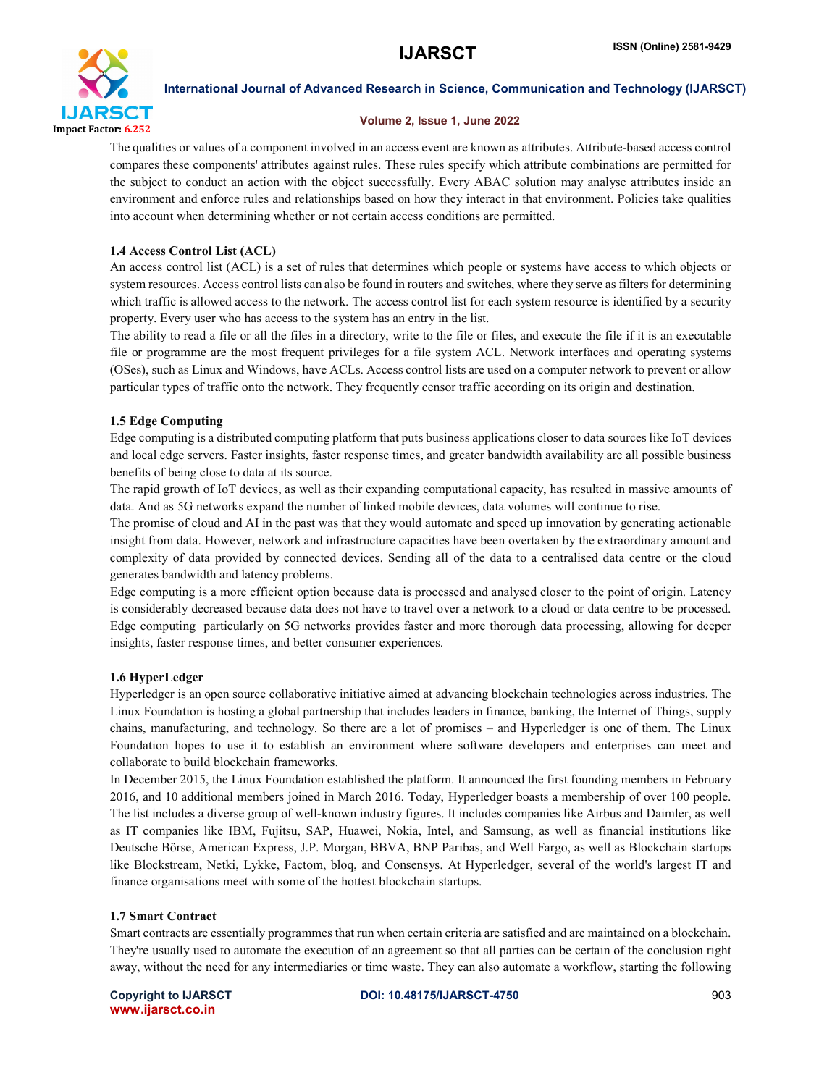

# Volume 2, Issue 1, June 2022

The qualities or values of a component involved in an access event are known as attributes. Attribute-based access control compares these components' attributes against rules. These rules specify which attribute combinations are permitted for the subject to conduct an action with the object successfully. Every ABAC solution may analyse attributes inside an environment and enforce rules and relationships based on how they interact in that environment. Policies take qualities into account when determining whether or not certain access conditions are permitted.

# 1.4 Access Control List (ACL)

An access control list (ACL) is a set of rules that determines which people or systems have access to which objects or system resources. Access control lists can also be found in routers and switches, where they serve as filters for determining which traffic is allowed access to the network. The access control list for each system resource is identified by a security property. Every user who has access to the system has an entry in the list.

The ability to read a file or all the files in a directory, write to the file or files, and execute the file if it is an executable file or programme are the most frequent privileges for a file system ACL. Network interfaces and operating systems (OSes), such as Linux and Windows, have ACLs. Access control lists are used on a computer network to prevent or allow particular types of traffic onto the network. They frequently censor traffic according on its origin and destination.

# 1.5 Edge Computing

Edge computing is a distributed computing platform that puts business applications closer to data sources like IoT devices and local edge servers. Faster insights, faster response times, and greater bandwidth availability are all possible business benefits of being close to data at its source.

The rapid growth of IoT devices, as well as their expanding computational capacity, has resulted in massive amounts of data. And as 5G networks expand the number of linked mobile devices, data volumes will continue to rise.

The promise of cloud and AI in the past was that they would automate and speed up innovation by generating actionable insight from data. However, network and infrastructure capacities have been overtaken by the extraordinary amount and complexity of data provided by connected devices. Sending all of the data to a centralised data centre or the cloud generates bandwidth and latency problems.

Edge computing is a more efficient option because data is processed and analysed closer to the point of origin. Latency is considerably decreased because data does not have to travel over a network to a cloud or data centre to be processed. Edge computing particularly on 5G networks provides faster and more thorough data processing, allowing for deeper insights, faster response times, and better consumer experiences.

# 1.6 HyperLedger

Hyperledger is an open source collaborative initiative aimed at advancing blockchain technologies across industries. The Linux Foundation is hosting a global partnership that includes leaders in finance, banking, the Internet of Things, supply chains, manufacturing, and technology. So there are a lot of promises – and Hyperledger is one of them. The Linux Foundation hopes to use it to establish an environment where software developers and enterprises can meet and collaborate to build blockchain frameworks.

In December 2015, the Linux Foundation established the platform. It announced the first founding members in February 2016, and 10 additional members joined in March 2016. Today, Hyperledger boasts a membership of over 100 people. The list includes a diverse group of well-known industry figures. It includes companies like Airbus and Daimler, as well as IT companies like IBM, Fujitsu, SAP, Huawei, Nokia, Intel, and Samsung, as well as financial institutions like Deutsche Börse, American Express, J.P. Morgan, BBVA, BNP Paribas, and Well Fargo, as well as Blockchain startups like Blockstream, Netki, Lykke, Factom, bloq, and Consensys. At Hyperledger, several of the world's largest IT and finance organisations meet with some of the hottest blockchain startups.

# 1.7 Smart Contract

Smart contracts are essentially programmes that run when certain criteria are satisfied and are maintained on a blockchain. They're usually used to automate the execution of an agreement so that all parties can be certain of the conclusion right away, without the need for any intermediaries or time waste. They can also automate a workflow, starting the following

www.ijarsct.co.in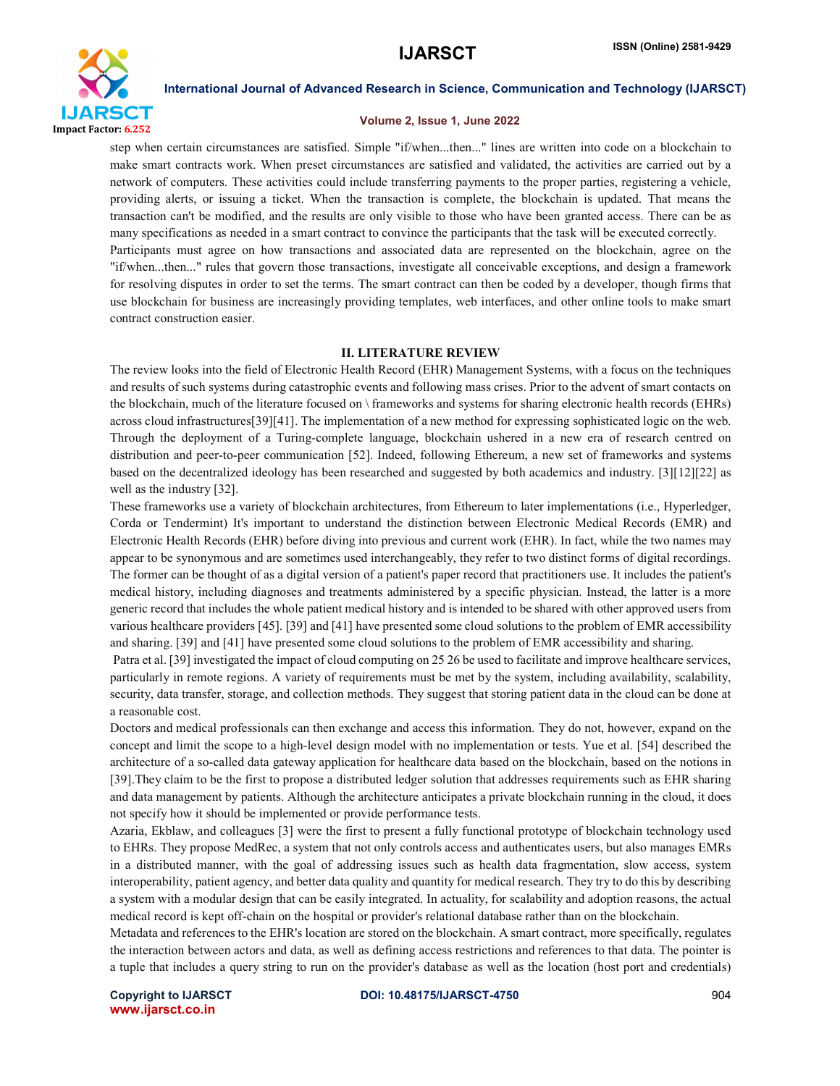

### Volume 2, Issue 1, June 2022

step when certain circumstances are satisfied. Simple "if/when...then..." lines are written into code on a blockchain to make smart contracts work. When preset circumstances are satisfied and validated, the activities are carried out by a network of computers. These activities could include transferring payments to the proper parties, registering a vehicle, providing alerts, or issuing a ticket. When the transaction is complete, the blockchain is updated. That means the transaction can't be modified, and the results are only visible to those who have been granted access. There can be as many specifications as needed in a smart contract to convince the participants that the task will be executed correctly. Participants must agree on how transactions and associated data are represented on the blockchain, agree on the "if/when...then..." rules that govern those transactions, investigate all conceivable exceptions, and design a framework for resolving disputes in order to set the terms. The smart contract can then be coded by a developer, though firms that use blockchain for business are increasingly providing templates, web interfaces, and other online tools to make smart contract construction easier.

# II. LITERATURE REVIEW

The review looks into the field of Electronic Health Record (EHR) Management Systems, with a focus on the techniques and results of such systems during catastrophic events and following mass crises. Prior to the advent of smart contacts on the blockchain, much of the literature focused on \ frameworks and systems for sharing electronic health records (EHRs) across cloud infrastructures[39][41]. The implementation of a new method for expressing sophisticated logic on the web. Through the deployment of a Turing-complete language, blockchain ushered in a new era of research centred on distribution and peer-to-peer communication [52]. Indeed, following Ethereum, a new set of frameworks and systems based on the decentralized ideology has been researched and suggested by both academics and industry. [3][12][22] as well as the industry [32].

These frameworks use a variety of blockchain architectures, from Ethereum to later implementations (i.e., Hyperledger, Corda or Tendermint) It's important to understand the distinction between Electronic Medical Records (EMR) and Electronic Health Records (EHR) before diving into previous and current work (EHR). In fact, while the two names may appear to be synonymous and are sometimes used interchangeably, they refer to two distinct forms of digital recordings. The former can be thought of as a digital version of a patient's paper record that practitioners use. It includes the patient's medical history, including diagnoses and treatments administered by a specific physician. Instead, the latter is a more generic record that includes the whole patient medical history and is intended to be shared with other approved users from various healthcare providers [45]. [39] and [41] have presented some cloud solutions to the problem of EMR accessibility and sharing. [39] and [41] have presented some cloud solutions to the problem of EMR accessibility and sharing.

Patra et al. [39] investigated the impact of cloud computing on 25 26 be used to facilitate and improve healthcare services, particularly in remote regions. A variety of requirements must be met by the system, including availability, scalability, security, data transfer, storage, and collection methods. They suggest that storing patient data in the cloud can be done at a reasonable cost.

Doctors and medical professionals can then exchange and access this information. They do not, however, expand on the concept and limit the scope to a high-level design model with no implementation or tests. Yue et al. [54] described the architecture of a so-called data gateway application for healthcare data based on the blockchain, based on the notions in [39].They claim to be the first to propose a distributed ledger solution that addresses requirements such as EHR sharing and data management by patients. Although the architecture anticipates a private blockchain running in the cloud, it does not specify how it should be implemented or provide performance tests.

Azaria, Ekblaw, and colleagues [3] were the first to present a fully functional prototype of blockchain technology used to EHRs. They propose MedRec, a system that not only controls access and authenticates users, but also manages EMRs in a distributed manner, with the goal of addressing issues such as health data fragmentation, slow access, system interoperability, patient agency, and better data quality and quantity for medical research. They try to do this by describing a system with a modular design that can be easily integrated. In actuality, for scalability and adoption reasons, the actual medical record is kept off-chain on the hospital or provider's relational database rather than on the blockchain.

Metadata and references to the EHR's location are stored on the blockchain. A smart contract, more specifically, regulates the interaction between actors and data, as well as defining access restrictions and references to that data. The pointer is a tuple that includes a query string to run on the provider's database as well as the location (host port and credentials)

www.ijarsct.co.in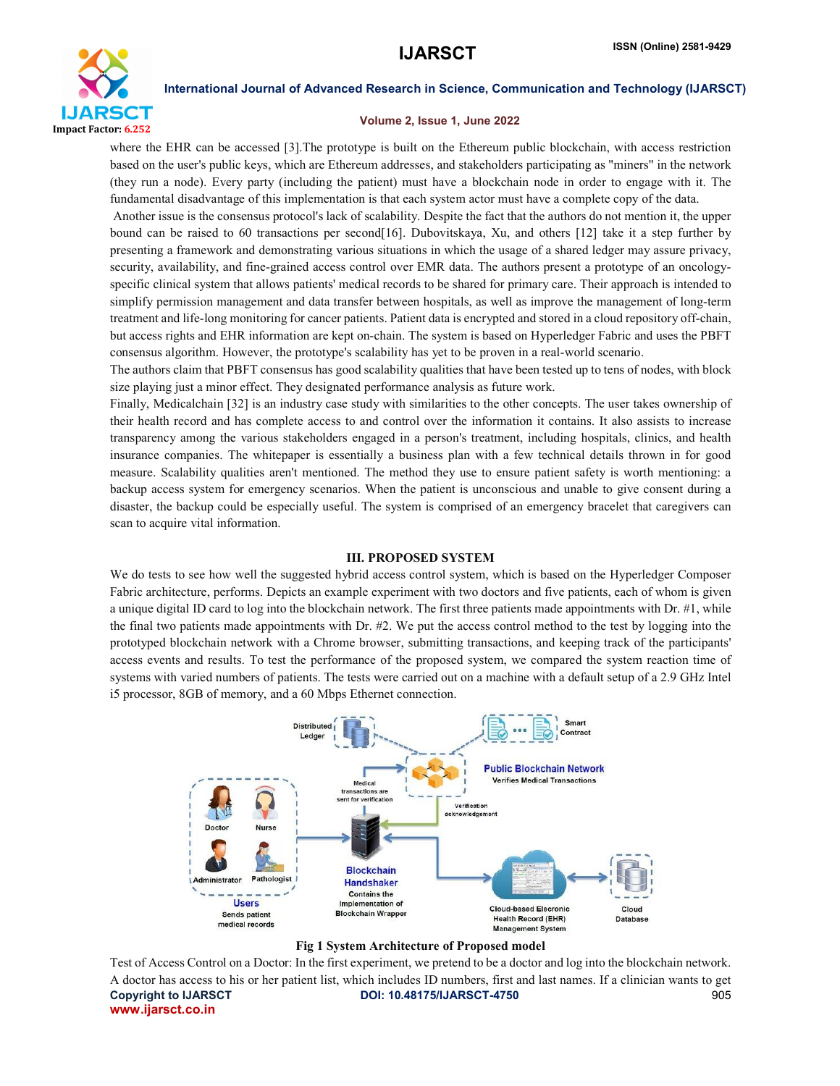

#### Volume 2, Issue 1, June 2022

where the EHR can be accessed [3].The prototype is built on the Ethereum public blockchain, with access restriction based on the user's public keys, which are Ethereum addresses, and stakeholders participating as "miners" in the network (they run a node). Every party (including the patient) must have a blockchain node in order to engage with it. The fundamental disadvantage of this implementation is that each system actor must have a complete copy of the data.

Another issue is the consensus protocol's lack of scalability. Despite the fact that the authors do not mention it, the upper bound can be raised to 60 transactions per second[16]. Dubovitskaya, Xu, and others [12] take it a step further by presenting a framework and demonstrating various situations in which the usage of a shared ledger may assure privacy, security, availability, and fine-grained access control over EMR data. The authors present a prototype of an oncologyspecific clinical system that allows patients' medical records to be shared for primary care. Their approach is intended to simplify permission management and data transfer between hospitals, as well as improve the management of long-term treatment and life-long monitoring for cancer patients. Patient data is encrypted and stored in a cloud repository off-chain, but access rights and EHR information are kept on-chain. The system is based on Hyperledger Fabric and uses the PBFT consensus algorithm. However, the prototype's scalability has yet to be proven in a real-world scenario.

The authors claim that PBFT consensus has good scalability qualities that have been tested up to tens of nodes, with block size playing just a minor effect. They designated performance analysis as future work.

Finally, Medicalchain [32] is an industry case study with similarities to the other concepts. The user takes ownership of their health record and has complete access to and control over the information it contains. It also assists to increase transparency among the various stakeholders engaged in a person's treatment, including hospitals, clinics, and health insurance companies. The whitepaper is essentially a business plan with a few technical details thrown in for good measure. Scalability qualities aren't mentioned. The method they use to ensure patient safety is worth mentioning: a backup access system for emergency scenarios. When the patient is unconscious and unable to give consent during a disaster, the backup could be especially useful. The system is comprised of an emergency bracelet that caregivers can scan to acquire vital information.

# III. PROPOSED SYSTEM

We do tests to see how well the suggested hybrid access control system, which is based on the Hyperledger Composer Fabric architecture, performs. Depicts an example experiment with two doctors and five patients, each of whom is given a unique digital ID card to log into the blockchain network. The first three patients made appointments with Dr. #1, while the final two patients made appointments with Dr. #2. We put the access control method to the test by logging into the prototyped blockchain network with a Chrome browser, submitting transactions, and keeping track of the participants' access events and results. To test the performance of the proposed system, we compared the system reaction time of systems with varied numbers of patients. The tests were carried out on a machine with a default setup of a 2.9 GHz Intel i5 processor, 8GB of memory, and a 60 Mbps Ethernet connection.



Fig 1 System Architecture of Proposed model

Copyright to IJARSCT **DOI: 10.48175/IJARSCT-4750** 905 www.ijarsct.co.in Test of Access Control on a Doctor: In the first experiment, we pretend to be a doctor and log into the blockchain network. A doctor has access to his or her patient list, which includes ID numbers, first and last names. If a clinician wants to get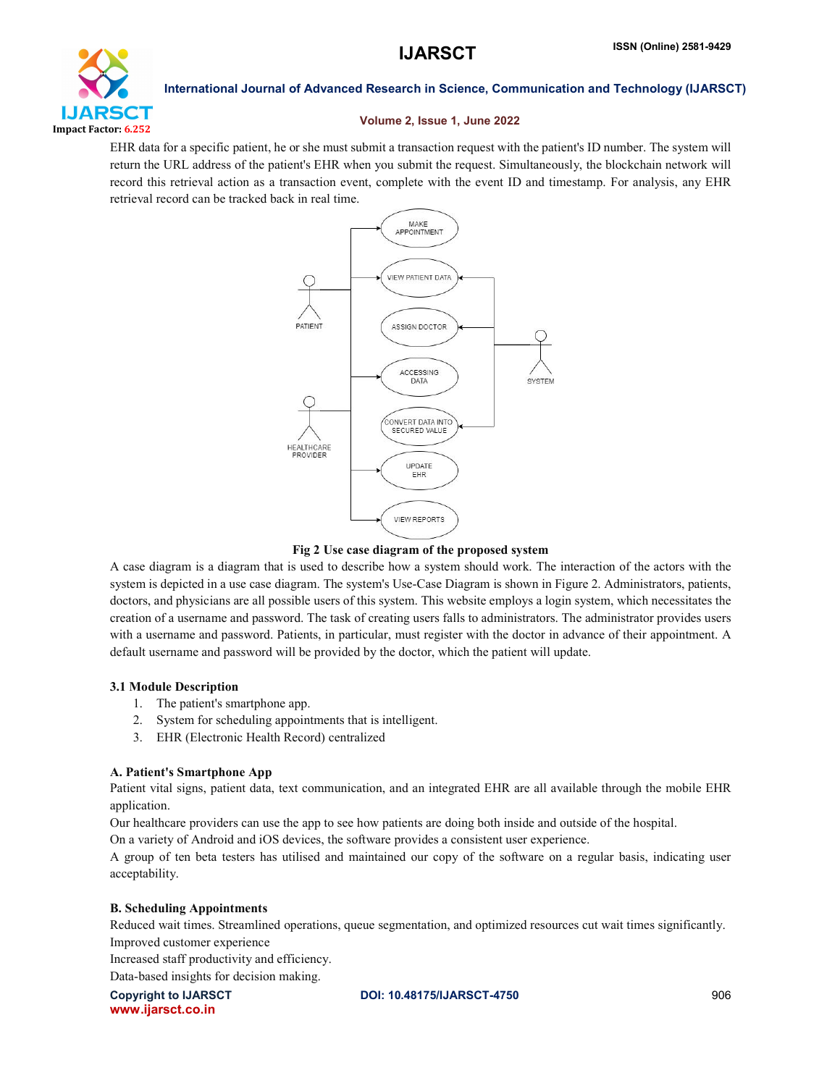

# Volume 2, Issue 1, June 2022

EHR data for a specific patient, he or she must submit a transaction request with the patient's ID number. The system will return the URL address of the patient's EHR when you submit the request. Simultaneously, the blockchain network will record this retrieval action as a transaction event, complete with the event ID and timestamp. For analysis, any EHR retrieval record can be tracked back in real time.



# Fig 2 Use case diagram of the proposed system

A case diagram is a diagram that is used to describe how a system should work. The interaction of the actors with the system is depicted in a use case diagram. The system's Use-Case Diagram is shown in Figure 2. Administrators, patients, doctors, and physicians are all possible users of this system. This website employs a login system, which necessitates the creation of a username and password. The task of creating users falls to administrators. The administrator provides users with a username and password. Patients, in particular, must register with the doctor in advance of their appointment. A default username and password will be provided by the doctor, which the patient will update.

# 3.1 Module Description

- 1. The patient's smartphone app.
- 2. System for scheduling appointments that is intelligent.
- 3. EHR (Electronic Health Record) centralized

# A. Patient's Smartphone App

Patient vital signs, patient data, text communication, and an integrated EHR are all available through the mobile EHR application.

Our healthcare providers can use the app to see how patients are doing both inside and outside of the hospital.

On a variety of Android and iOS devices, the software provides a consistent user experience.

A group of ten beta testers has utilised and maintained our copy of the software on a regular basis, indicating user acceptability.

# B. Scheduling Appointments

Reduced wait times. Streamlined operations, queue segmentation, and optimized resources cut wait times significantly. Improved customer experience

Increased staff productivity and efficiency.

Data-based insights for decision making.

www.ijarsct.co.in

Copyright to IJARSCT **DOI: 10.48175/IJARSCT-4750** 906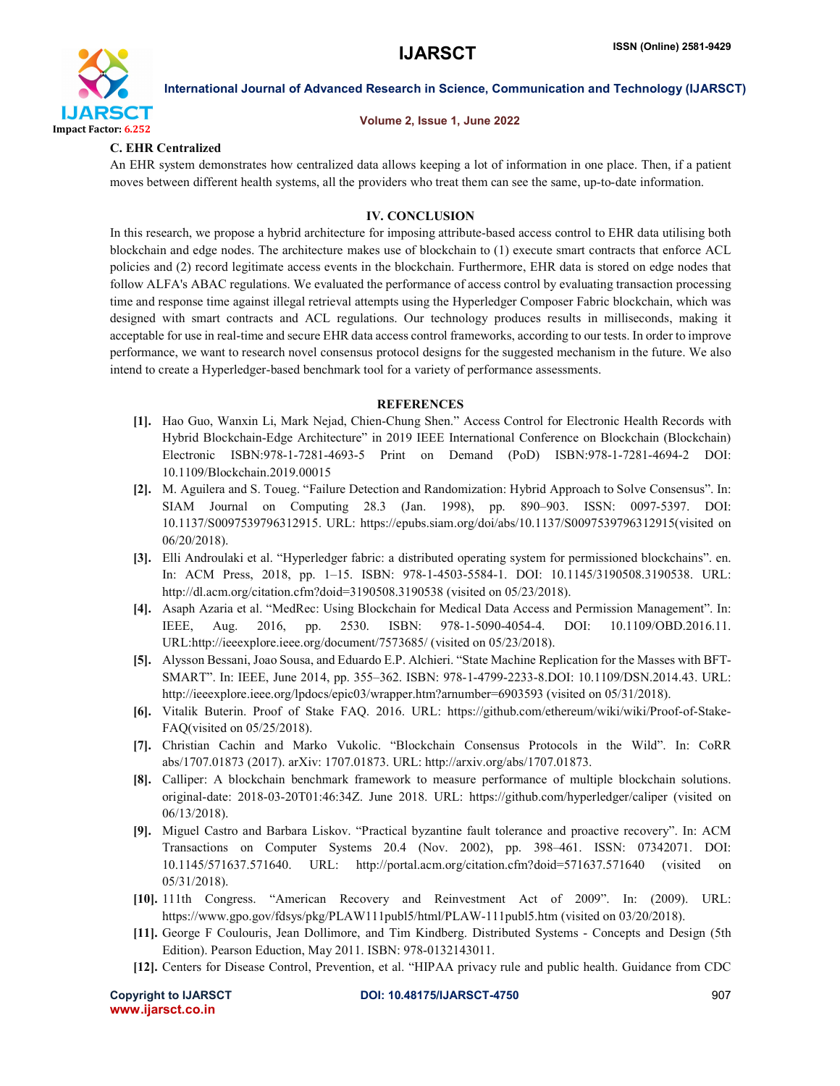

#### Volume 2, Issue 1, June 2022

# C. EHR Centralized

An EHR system demonstrates how centralized data allows keeping a lot of information in one place. Then, if a patient moves between different health systems, all the providers who treat them can see the same, up-to-date information.

# IV. CONCLUSION

In this research, we propose a hybrid architecture for imposing attribute-based access control to EHR data utilising both blockchain and edge nodes. The architecture makes use of blockchain to (1) execute smart contracts that enforce ACL policies and (2) record legitimate access events in the blockchain. Furthermore, EHR data is stored on edge nodes that follow ALFA's ABAC regulations. We evaluated the performance of access control by evaluating transaction processing time and response time against illegal retrieval attempts using the Hyperledger Composer Fabric blockchain, which was designed with smart contracts and ACL regulations. Our technology produces results in milliseconds, making it acceptable for use in real-time and secure EHR data access control frameworks, according to our tests. In order to improve performance, we want to research novel consensus protocol designs for the suggested mechanism in the future. We also intend to create a Hyperledger-based benchmark tool for a variety of performance assessments.

# **REFERENCES**

- [1]. Hao Guo, Wanxin Li, Mark Nejad, Chien-Chung Shen." Access Control for Electronic Health Records with Hybrid Blockchain-Edge Architecture" in 2019 IEEE International Conference on Blockchain (Blockchain) Electronic ISBN:978-1-7281-4693-5 Print on Demand (PoD) ISBN:978-1-7281-4694-2 DOI: 10.1109/Blockchain.2019.00015
- [2]. M. Aguilera and S. Toueg. "Failure Detection and Randomization: Hybrid Approach to Solve Consensus". In: SIAM Journal on Computing 28.3 (Jan. 1998), pp. 890–903. ISSN: 0097-5397. DOI: 10.1137/S0097539796312915. URL: https://epubs.siam.org/doi/abs/10.1137/S0097539796312915(visited on 06/20/2018).
- [3]. Elli Androulaki et al. "Hyperledger fabric: a distributed operating system for permissioned blockchains". en. In: ACM Press, 2018, pp. 1–15. ISBN: 978-1-4503-5584-1. DOI: 10.1145/3190508.3190538. URL: http://dl.acm.org/citation.cfm?doid=3190508.3190538 (visited on 05/23/2018).
- [4]. Asaph Azaria et al. "MedRec: Using Blockchain for Medical Data Access and Permission Management". In: IEEE, Aug. 2016, pp. 2530. ISBN: 978-1-5090-4054-4. DOI: 10.1109/OBD.2016.11. URL:http://ieeexplore.ieee.org/document/7573685/ (visited on 05/23/2018).
- [5]. Alysson Bessani, Joao Sousa, and Eduardo E.P. Alchieri. "State Machine Replication for the Masses with BFT-SMART". In: IEEE, June 2014, pp. 355–362. ISBN: 978-1-4799-2233-8.DOI: 10.1109/DSN.2014.43. URL: http://ieeexplore.ieee.org/lpdocs/epic03/wrapper.htm?arnumber=6903593 (visited on 05/31/2018).
- [6]. Vitalik Buterin. Proof of Stake FAQ. 2016. URL: https://github.com/ethereum/wiki/wiki/Proof-of-Stake-FAQ(visited on 05/25/2018).
- [7]. Christian Cachin and Marko Vukolic. "Blockchain Consensus Protocols in the Wild". In: CoRR abs/1707.01873 (2017). arXiv: 1707.01873. URL: http://arxiv.org/abs/1707.01873.
- [8]. Calliper: A blockchain benchmark framework to measure performance of multiple blockchain solutions. original-date: 2018-03-20T01:46:34Z. June 2018. URL: https://github.com/hyperledger/caliper (visited on 06/13/2018).
- [9]. Miguel Castro and Barbara Liskov. "Practical byzantine fault tolerance and proactive recovery". In: ACM Transactions on Computer Systems 20.4 (Nov. 2002), pp. 398–461. ISSN: 07342071. DOI: 10.1145/571637.571640. URL: http://portal.acm.org/citation.cfm?doid=571637.571640 (visited on 05/31/2018).
- [10]. 111th Congress. "American Recovery and Reinvestment Act of 2009". In: (2009). URL: https://www.gpo.gov/fdsys/pkg/PLAW111publ5/html/PLAW-111publ5.htm (visited on 03/20/2018).
- [11]. George F Coulouris, Jean Dollimore, and Tim Kindberg. Distributed Systems Concepts and Design (5th Edition). Pearson Eduction, May 2011. ISBN: 978-0132143011.
- [12]. Centers for Disease Control, Prevention, et al. "HIPAA privacy rule and public health. Guidance from CDC